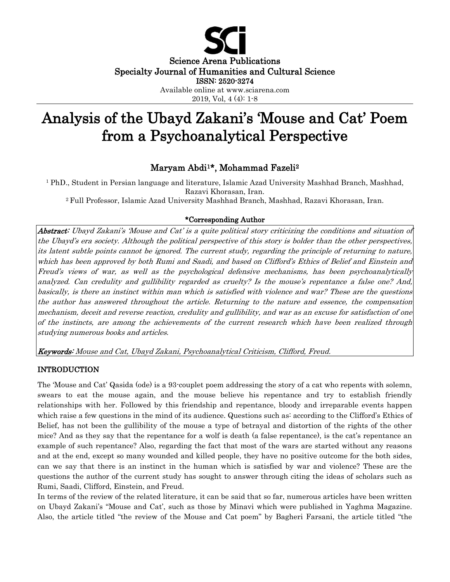

# Analysis of the Ubayd Zakani's 'Mouse and Cat' Poem from a Psychoanalytical Perspective

# Maryam Abdi1\*, Mohammad Fazeli<sup>2</sup>

 $1$  PhD., Student in Persian language and literature, Islamic Azad University Mashhad Branch, Mashhad, Razavi Khorasan, Iran. <sup>2</sup>Full Professor, Islamic Azad University Mashhad Branch, Mashhad, Razavi Khorasan, Iran.

## \*Corresponding Author

Abstract: Ubayd Zakani's 'Mouse and Cat' is a quite political story criticizing the conditions and situation of the Ubayd's era society. Although the political perspective of this story is bolder than the other perspectives, its latent subtle points cannot be ignored. The current study, regarding the principle of returning to nature, which has been approved by both Rumi and Saadi, and based on Clifford's Ethics of Belief and Einstein and Freud's views of war, as well as the psychological defensive mechanisms, has been psychoanalytically analyzed. Can credulity and gullibility regarded as cruelty? Is the mouse's repentance a false one? And, basically, is there an instinct within man which is satisfied with violence and war? These are the questions the author has answered throughout the article. Returning to the nature and essence, the compensation mechanism, deceit and reverse reaction, credulity and gullibility, and war as an excuse for satisfaction of one of the instincts, are among the achievements of the current research which have been realized through studying numerous books and articles.

Keywords: Mouse and Cat, Ubayd Zakani, Psychoanalytical Criticism, Clifford, Freud.

### INTRODUCTION

The 'Mouse and Cat' Qasida (ode) is a 93-couplet poem addressing the story of a cat who repents with solemn, swears to eat the mouse again, and the mouse believe his repentance and try to establish friendly relationships with her. Followed by this friendship and repentance, bloody and irreparable events happen which raise a few questions in the mind of its audience. Questions such as: according to the Clifford's Ethics of Belief, has not been the gullibility of the mouse a type of betrayal and distortion of the rights of the other mice? And as they say that the repentance for a wolf is death (a false repentance), is the cat's repentance an example of such repentance? Also, regarding the fact that most of the wars are started without any reasons and at the end, except so many wounded and killed people, they have no positive outcome for the both sides, can we say that there is an instinct in the human which is satisfied by war and violence? These are the questions the author of the current study has sought to answer through citing the ideas of scholars such as Rumi, Saadi, Clifford, Einstein, and Freud.

In terms of the review of the related literature, it can be said that so far, numerous articles have been written on Ubayd Zakani's "Mouse and Cat', such as those by Minavi which were published in Yaghma Magazine. Also, the article titled "the review of the Mouse and Cat poem" by Bagheri Farsani, the article titled "the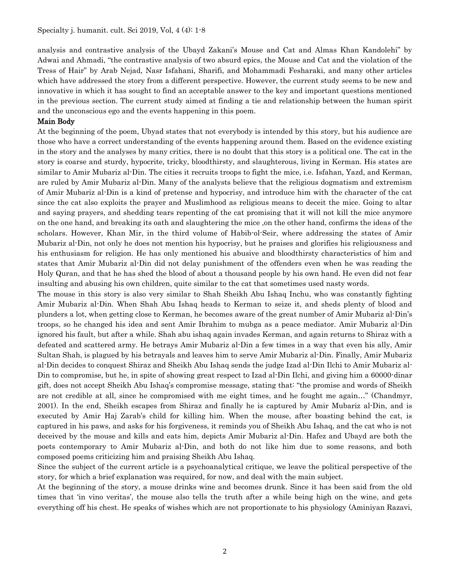analysis and contrastive analysis of the Ubayd Zakani's Mouse and Cat and Almas Khan Kandolehi" by Adwai and Ahmadi, "the contrastive analysis of two absurd epics, the Mouse and Cat and the violation of the Tress of Hair" by Arab Nejad, Nasr Isfahani, Sharifi, and Mohammadi Fesharaki, and many other articles which have addressed the story from a different perspective. However, the current study seems to be new and innovative in which it has sought to find an acceptable answer to the key and important questions mentioned in the previous section. The current study aimed at finding a tie and relationship between the human spirit and the unconscious ego and the events happening in this poem.

#### Main Body

At the beginning of the poem, Ubyad states that not everybody is intended by this story, but his audience are those who have a correct understanding of the events happening around them. Based on the evidence existing in the story and the analyses by many critics, there is no doubt that this story is a political one. The cat in the story is coarse and sturdy, hypocrite, tricky, bloodthirsty, and slaughterous, living in Kerman. His states are similar to Amir Mubariz al-Din. The cities it recruits troops to fight the mice, i.e. Isfahan, Yazd, and Kerman, are ruled by Amir Mubariz al-Din. Many of the analysts believe that the religious dogmatism and extremism of Amir Mubariz al-Din is a kind of pretense and hypocrisy, and introduce him with the character of the cat since the cat also exploits the prayer and Muslimhood as religious means to deceit the mice. Going to altar and saying prayers, and shedding tears repenting of the cat promising that it will not kill the mice anymore on the one hand, and breaking its oath and slaughtering the mice ,on the other hand, confirms the ideas of the scholars. However, Khan Mir, in the third volume of Habib-ol-Seir, where addressing the states of Amir Mubariz al-Din, not only he does not mention his hypocrisy, but he praises and glorifies his religiousness and his enthusiasm for religion. He has only mentioned his abusive and bloodthirsty characteristics of him and states that Amir Mubariz al-Din did not delay punishment of the offenders even when he was reading the Holy Quran, and that he has shed the blood of about a thousand people by his own hand. He even did not fear insulting and abusing his own children, quite similar to the cat that sometimes used nasty words.

The mouse in this story is also very similar to Shah Sheikh Abu Ishaq Inchu, who was constantly fighting Amir Mubariz al-Din. When Shah Abu Ishaq heads to Kerman to seize it, and sheds plenty of blood and plunders a lot, when getting close to Kerman, he becomes aware of the great number of Amir Mubariz al-Din's troops, so he changed his idea and sent Amir Ibrahim to mubga as a peace mediator. Amir Mubariz al-Din ignored his fault, but after a while. Shah abu ishaq again invades Kerman, and again returns to Shiraz with a defeated and scattered army. He betrays Amir Mubariz al-Din a few times in a way that even his ally, Amir Sultan Shah, is plagued by his betrayals and leaves him to serve Amir Mubariz al-Din. Finally, Amir Mubariz al-Din decides to conquest Shiraz and Sheikh Abu Ishaq sends the judge Izad al-Din Ilchi to Amir Mubariz al-Din to compromise, but he, in spite of showing great respect to Izad al-Din Ilchi, and giving him a 60000-dinar gift, does not accept Sheikh Abu Ishaq's compromise message, stating that: "the promise and words of Sheikh are not credible at all, since he compromised with me eight times, and he fought me again…" (Chandmyr, 2001). In the end, Sheikh escapes from Shiraz and finally he is captured by Amir Mubariz al-Din, and is executed by Amir Haj Zarab's child for killing him. When the mouse, after boasting behind the cat, is captured in his paws, and asks for his forgiveness, it reminds you of Sheikh Abu Ishaq, and the cat who is not deceived by the mouse and kills and eats him, depicts Amir Mubariz al-Din. Hafez and Ubayd are both the poets contemporary to Amir Mubariz al-Din, and both do not like him due to some reasons, and both composed poems criticizing him and praising Sheikh Abu Ishaq.

Since the subject of the current article is a psychoanalytical critique, we leave the political perspective of the story, for which a brief explanation was required, for now, and deal with the main subject.

At the beginning of the story, a mouse drinks wine and becomes drunk. Since it has been said from the old times that 'in vino veritas', the mouse also tells the truth after a while being high on the wine, and gets everything off his chest. He speaks of wishes which are not proportionate to his physiology (Aminiyan Razavi,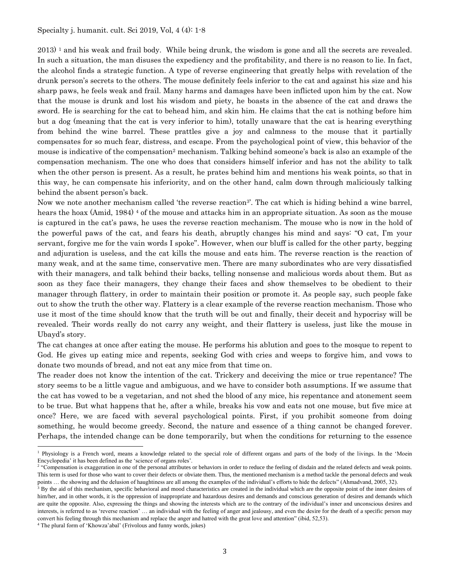$2013$ <sup> $1$ </sup> and his weak and frail body. While being drunk, the wisdom is gone and all the secrets are revealed. In such a situation, the man disuses the expediency and the profitability, and there is no reason to lie. In fact, the alcohol finds a strategic function. A type of reverse engineering that greatly helps with revelation of the drunk person's secrets to the others. The mouse definitely feels inferior to the cat and against his size and his sharp paws, he feels weak and frail. Many harms and damages have been inflicted upon him by the cat. Now that the mouse is drunk and lost his wisdom and piety, he boasts in the absence of the cat and draws the sword. He is searching for the cat to behead him, and skin him. He claims that the cat is nothing before him but a dog (meaning that the cat is very inferior to him), totally unaware that the cat is hearing everything from behind the wine barrel. These prattles give a joy and calmness to the mouse that it partially compensates for so much fear, distress, and escape. From the psychological point of view, this behavior of the mouse is indicative of the compensation<sup>2</sup> mechanism. Talking behind someone's back is also an example of the compensation mechanism. The one who does that considers himself inferior and has not the ability to talk when the other person is present. As a result, he prates behind him and mentions his weak points, so that in this way, he can compensate his inferiority, and on the other hand, calm down through maliciously talking behind the absent person's back.

Now we note another mechanism called 'the reverse reaction<sup>3</sup>'. The cat which is hiding behind a wine barrel, hears the hoax (Amid, 1984) <sup>4</sup> of the mouse and attacks him in an appropriate situation. As soon as the mouse is captured in the cat's paws, he uses the reverse reaction mechanism. The mouse who is now in the hold of the powerful paws of the cat, and fears his death, abruptly changes his mind and says: "O cat, I'm your servant, forgive me for the vain words I spoke". However, when our bluff is called for the other party, begging and adjuration is useless, and the cat kills the mouse and eats him. The reverse reaction is the reaction of many weak, and at the same time, conservative men. There are many subordinates who are very dissatisfied with their managers, and talk behind their backs, telling nonsense and malicious words about them. But as soon as they face their managers, they change their faces and show themselves to be obedient to their manager through flattery, in order to maintain their position or promote it. As people say, such people fake out to show the truth the other way. Flattery is a clear example of the reverse reaction mechanism. Those who use it most of the time should know that the truth will be out and finally, their deceit and hypocrisy will be revealed. Their words really do not carry any weight, and their flattery is useless, just like the mouse in Ubayd's story.

The cat changes at once after eating the mouse. He performs his ablution and goes to the mosque to repent to God. He gives up eating mice and repents, seeking God with cries and weeps to forgive him, and vows to donate two mounds of bread, and not eat any mice from that time on.

The reader does not know the intention of the cat. Trickery and deceiving the mice or true repentance? The story seems to be a little vague and ambiguous, and we have to consider both assumptions. If we assume that the cat has vowed to be a vegetarian, and not shed the blood of any mice, his repentance and atonement seem to be true. But what happens that he, after a while, breaks his vow and eats not one mouse, but five mice at once? Here, we are faced with several psychological points. First, if you prohibit someone from doing something, he would become greedy. Second, the nature and essence of a thing cannot be changed forever. Perhaps, the intended change can be done temporarily, but when the conditions for returning to the essence

<sup>&</sup>lt;sup>1</sup> Physiology is a French word, means a knowledge related to the special role of different organs and parts of the body of the livings. In the 'Moein Encyclopedia' it has been defined as the 'science of organs roles'.

<sup>&</sup>lt;sup>2</sup> "Compensation is exaggeration in one of the personal attributes or behaviors in order to reduce the feeling of disdain and the related defects and weak points. This term is used for those who want to cover their defects or obviate them. Thus, the mentioned mechanism is a method tackle the personal defects and weak points … the showing and the delusion of haughtiness are all among the examples of the individual's efforts to hide the defects" (Ahmadvand, 2005, 32).

<sup>3</sup> By the aid of this mechanism, specific behavioral and mood characteristics are created in the individual which are the opposite point of the inner desires of him/her, and in other words, it is the oppression of inappropriate and hazardous desires and demands and conscious generation of desires and demands which are quite the opposite. Also, expressing the things and showing the interests which are to the contrary of the individual's inner and unconscious desires and interests, is referred to as 'reverse reaction' … an individual with the feeling of anger and jealousy, and even the desire for the death of a specific person may convert his feeling through this mechanism and replace the anger and hatred with the great love and attention" (ibid, 52,53).

<sup>4</sup> The plural form of 'Khowza'abal' (Frivolous and funny words, jokes)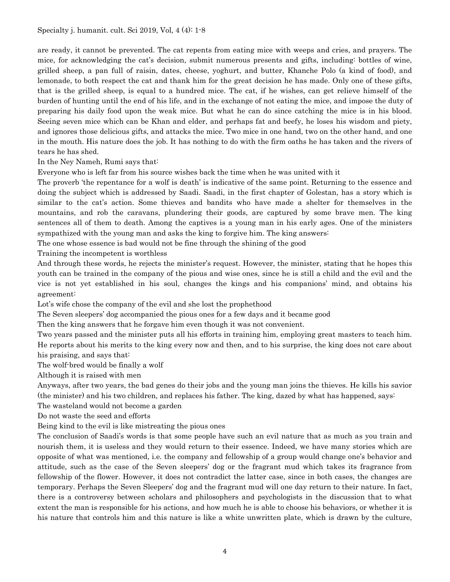are ready, it cannot be prevented. The cat repents from eating mice with weeps and cries, and prayers. The mice, for acknowledging the cat's decision, submit numerous presents and gifts, including: bottles of wine, grilled sheep, a pan full of raisin, dates, cheese, yoghurt, and butter, Khanche Polo (a kind of food), and lemonade, to both respect the cat and thank him for the great decision he has made. Only one of these gifts, that is the grilled sheep, is equal to a hundred mice. The cat, if he wishes, can get relieve himself of the burden of hunting until the end of his life, and in the exchange of not eating the mice, and impose the duty of preparing his daily food upon the weak mice. But what he can do since catching the mice is in his blood. Seeing seven mice which can be Khan and elder, and perhaps fat and beefy, he loses his wisdom and piety, and ignores those delicious gifts, and attacks the mice. Two mice in one hand, two on the other hand, and one in the mouth. His nature does the job. It has nothing to do with the firm oaths he has taken and the rivers of tears he has shed.

In the Ney Nameh, Rumi says that:

Everyone who is left far from his source wishes back the time when he was united with it

The proverb 'the repentance for a wolf is death' is indicative of the same point. Returning to the essence and doing the subject which is addressed by Saadi. Saadi, in the first chapter of Golestan, has a story which is similar to the cat's action. Some thieves and bandits who have made a shelter for themselves in the mountains, and rob the caravans, plundering their goods, are captured by some brave men. The king sentences all of them to death. Among the captives is a young man in his early ages. One of the ministers sympathized with the young man and asks the king to forgive him. The king answers:

The one whose essence is bad would not be fine through the shining of the good

Training the incompetent is worthless

And through these words, he rejects the minister's request. However, the minister, stating that he hopes this youth can be trained in the company of the pious and wise ones, since he is still a child and the evil and the vice is not yet established in his soul, changes the kings and his companions' mind, and obtains his agreement:

Lot's wife chose the company of the evil and she lost the prophethood

The Seven sleepers' dog accompanied the pious ones for a few days and it became good

Then the king answers that he forgave him even though it was not convenient.

Two years passed and the minister puts all his efforts in training him, employing great masters to teach him. He reports about his merits to the king every now and then, and to his surprise, the king does not care about his praising, and says that:

The wolf-bred would be finally a wolf

Although it is raised with men

Anyways, after two years, the bad genes do their jobs and the young man joins the thieves. He kills his savior (the minister) and his two children, and replaces his father. The king, dazed by what has happened, says:

The wasteland would not become a garden

Do not waste the seed and efforts

Being kind to the evil is like mistreating the pious ones

The conclusion of Saadi's words is that some people have such an evil nature that as much as you train and nourish them, it is useless and they would return to their essence. Indeed, we have many stories which are opposite of what was mentioned, i.e. the company and fellowship of a group would change one's behavior and attitude, such as the case of the Seven sleepers' dog or the fragrant mud which takes its fragrance from fellowship of the flower. However, it does not contradict the latter case, since in both cases, the changes are temporary. Perhaps the Seven Sleepers' dog and the fragrant mud will one day return to their nature. In fact, there is a controversy between scholars and philosophers and psychologists in the discussion that to what extent the man is responsible for his actions, and how much he is able to choose his behaviors, or whether it is his nature that controls him and this nature is like a white unwritten plate, which is drawn by the culture,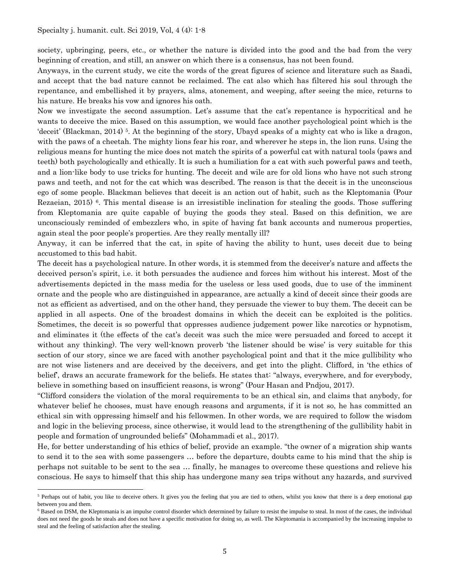society, upbringing, peers, etc., or whether the nature is divided into the good and the bad from the very beginning of creation, and still, an answer on which there is a consensus, has not been found.

Anyways, in the current study, we cite the words of the great figures of science and literature such as Saadi, and accept that the bad nature cannot be reclaimed. The cat also which has filtered his soul through the repentance, and embellished it by prayers, alms, atonement, and weeping, after seeing the mice, returns to his nature. He breaks his vow and ignores his oath.

Now we investigate the second assumption. Let's assume that the cat's repentance is hypocritical and he wants to deceive the mice. Based on this assumption, we would face another psychological point which is the 'deceit' (Blackman, 2014) <sup>5</sup>. At the beginning of the story, Ubayd speaks of a mighty cat who is like a dragon, with the paws of a cheetah. The mighty lions fear his roar, and wherever he steps in, the lion runs. Using the religious means for hunting the mice does not match the spirits of a powerful cat with natural tools (paws and teeth) both psychologically and ethically. It is such a humiliation for a cat with such powerful paws and teeth, and a lion-like body to use tricks for hunting. The deceit and wile are for old lions who have not such strong paws and teeth, and not for the cat which was described. The reason is that the deceit is in the unconscious ego of some people. Blackman believes that deceit is an action out of habit, such as the Kleptomania (Pour Rezaeian, 2015) <sup>6</sup>. This mental disease is an irresistible inclination for stealing the goods. Those suffering from Kleptomania are quite capable of buying the goods they steal. Based on this definition, we are unconsciously reminded of embezzlers who, in spite of having fat bank accounts and numerous properties, again steal the poor people's properties. Are they really mentally ill?

Anyway, it can be inferred that the cat, in spite of having the ability to hunt, uses deceit due to being accustomed to this bad habit.

The deceit has a psychological nature. In other words, it is stemmed from the deceiver's nature and affects the deceived person's spirit, i.e. it both persuades the audience and forces him without his interest. Most of the advertisements depicted in the mass media for the useless or less used goods, due to use of the imminent ornate and the people who are distinguished in appearance, are actually a kind of deceit since their goods are not as efficient as advertised, and on the other hand, they persuade the viewer to buy them. The deceit can be applied in all aspects. One of the broadest domains in which the deceit can be exploited is the politics. Sometimes, the deceit is so powerful that oppresses audience judgement power like narcotics or hypnotism, and eliminates it (the effects of the cat's deceit was such the mice were persuaded and forced to accept it without any thinking). The very well-known proverb 'the listener should be wise' is very suitable for this section of our story, since we are faced with another psychological point and that it the mice gullibility who are not wise listeners and are deceived by the deceivers, and get into the plight. Clifford, in 'the ethics of belief', draws an accurate framework for the beliefs. He states that: "always, everywhere, and for everybody, believe in something based on insufficient reasons, is wrong" (Pour Hasan and Pndjou, 2017).

"Clifford considers the violation of the moral requirements to be an ethical sin, and claims that anybody, for whatever belief he chooses, must have enough reasons and arguments, if it is not so, he has committed an ethical sin with oppressing himself and his fellowmen. In other words, we are required to follow the wisdom and logic in the believing process, since otherwise, it would lead to the strengthening of the gullibility habit in people and formation of ungrounded beliefs" (Mohammadi et al., 2017).

He, for better understanding of his ethics of belief, provide an example. "the owner of a migration ship wants to send it to the sea with some passengers … before the departure, doubts came to his mind that the ship is perhaps not suitable to be sent to the sea … finally, he manages to overcome these questions and relieve his conscious. He says to himself that this ship has undergone many sea trips without any hazards, and survived

<sup>&</sup>lt;sup>5</sup> Perhaps out of habit, you like to deceive others. It gives you the feeling that you are tied to others, whilst you know that there is a deep emotional gap between you and them.

<sup>&</sup>lt;sup>6</sup> Based on DSM, the Kleptomania is an impulse control disorder which determined by failure to resist the impulse to steal. In most of the cases, the individual does not need the goods he steals and does not have a specific motivation for doing so, as well. The Kleptomania is accompanied by the increasing impulse to steal and the feeling of satisfaction after the stealing.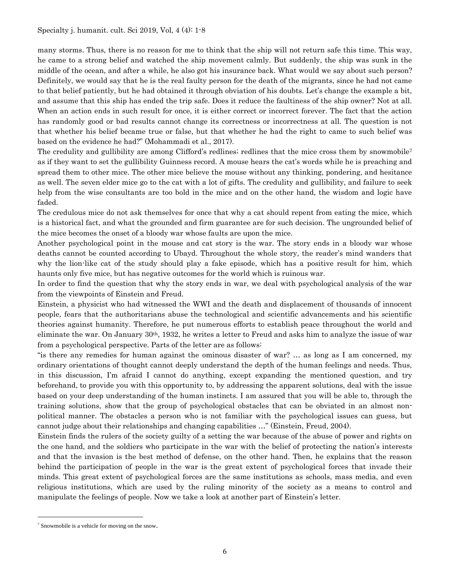many storms. Thus, there is no reason for me to think that the ship will not return safe this time. This way, he came to a strong belief and watched the ship movement calmly. But suddenly, the ship was sunk in the middle of the ocean, and after a while, he also got his insurance back. What would we say about such person? Definitely, we would say that he is the real faulty person for the death of the migrants, since he had not came to that belief patiently, but he had obtained it through obviation of his doubts. Let's change the example a bit, and assume that this ship has ended the trip safe. Does it reduce the faultiness of the ship owner? Not at all. When an action ends in such result for once, it is either correct or incorrect forever. The fact that the action has randomly good or bad results cannot change its correctness or incorrectness at all. The question is not that whether his belief became true or false, but that whether he had the right to came to such belief was based on the evidence he had?" (Mohammadi et al., 2017).

The credulity and gullibility are among Clifford's redlines; redlines that the mice cross them by snowmobile<sup>7</sup> as if they want to set the gullibility Guinness record. A mouse hears the cat's words while he is preaching and spread them to other mice. The other mice believe the mouse without any thinking, pondering, and hesitance as well. The seven elder mice go to the cat with a lot of gifts. The credulity and gullibility, and failure to seek help from the wise consultants are too bold in the mice and on the other hand, the wisdom and logic have faded.

The credulous mice do not ask themselves for once that why a cat should repent from eating the mice, which is a historical fact, and what the grounded and firm guarantee are for such decision. The ungrounded belief of the mice becomes the onset of a bloody war whose faults are upon the mice.

Another psychological point in the mouse and cat story is the war. The story ends in a bloody war whose deaths cannot be counted according to Ubayd. Throughout the whole story, the reader's mind wanders that why the lion-like cat of the study should play a fake episode, which has a positive result for him, which haunts only five mice, but has negative outcomes for the world which is ruinous war.

In order to find the question that why the story ends in war, we deal with psychological analysis of the war from the viewpoints of Einstein and Freud.

Einstein, a physicist who had witnessed the WWI and the death and displacement of thousands of innocent people, fears that the authoritarians abuse the technological and scientific advancements and his scientific theories against humanity. Therefore, he put numerous efforts to establish peace throughout the world and eliminate the war. On January 30th, 1932, he writes a letter to Freud and asks him to analyze the issue of war from a psychological perspective. Parts of the letter are as follows:

"is there any remedies for human against the ominous disaster of war? … as long as I am concerned, my ordinary orientations of thought cannot deeply understand the depth of the human feelings and needs. Thus, in this discussion, I'm afraid I cannot do anything, except expanding the mentioned question, and try beforehand, to provide you with this opportunity to, by addressing the apparent solutions, deal with the issue based on your deep understanding of the human instincts. I am assured that you will be able to, through the training solutions, show that the group of psychological obstacles that can be obviated in an almost nonpolitical manner. The obstacles a person who is not familiar with the psychological issues can guess, but cannot judge about their relationships and changing capabilities …" (Einstein, Freud, 2004).

Einstein finds the rulers of the society guilty of a setting the war because of the abuse of power and rights on the one hand, and the soldiers who participate in the war with the belief of protecting the nation's interests and that the invasion is the best method of defense, on the other hand. Then, he explains that the reason behind the participation of people in the war is the great extent of psychological forces that invade their minds. This great extent of psychological forces are the same institutions as schools, mass media, and even religious institutions, which are used by the ruling minority of the society as a means to control and manipulate the feelings of people. Now we take a look at another part of Einstein's letter.

<sup>7</sup> Snowmobile is a vehicle for moving on the snow.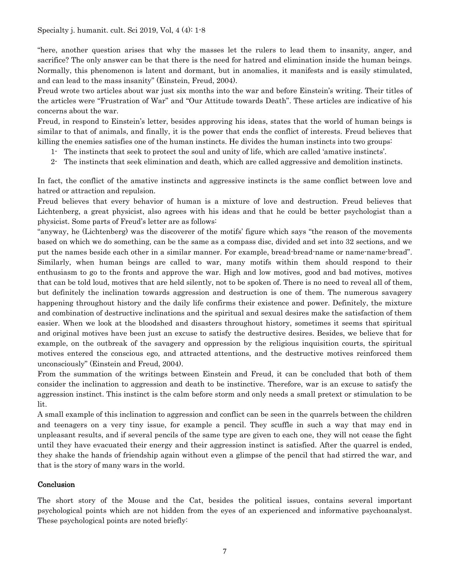"here, another question arises that why the masses let the rulers to lead them to insanity, anger, and sacrifice? The only answer can be that there is the need for hatred and elimination inside the human beings. Normally, this phenomenon is latent and dormant, but in anomalies, it manifests and is easily stimulated, and can lead to the mass insanity" (Einstein, Freud, 2004).

Freud wrote two articles about war just six months into the war and before Einstein's writing. Their titles of the articles were "Frustration of War" and "Our Attitude towards Death". These articles are indicative of his concerns about the war.

Freud, in respond to Einstein's letter, besides approving his ideas, states that the world of human beings is similar to that of animals, and finally, it is the power that ends the conflict of interests. Freud believes that killing the enemies satisfies one of the human instincts. He divides the human instincts into two groups:

- 1- The instincts that seek to protect the soul and unity of life, which are called 'amative instincts'.
- 2- The instincts that seek elimination and death, which are called aggressive and demolition instincts.

In fact, the conflict of the amative instincts and aggressive instincts is the same conflict between love and hatred or attraction and repulsion.

Freud believes that every behavior of human is a mixture of love and destruction. Freud believes that Lichtenberg, a great physicist, also agrees with his ideas and that he could be better psychologist than a physicist. Some parts of Freud's letter are as follows:

"anyway, he (Lichtenberg) was the discoverer of the motifs' figure which says "the reason of the movements based on which we do something, can be the same as a compass disc, divided and set into 32 sections, and we put the names beside each other in a similar manner. For example, bread-bread-name or name-name-bread". Similarly, when human beings are called to war, many motifs within them should respond to their enthusiasm to go to the fronts and approve the war. High and low motives, good and bad motives, motives that can be told loud, motives that are held silently, not to be spoken of. There is no need to reveal all of them, but definitely the inclination towards aggression and destruction is one of them. The numerous savagery happening throughout history and the daily life confirms their existence and power. Definitely, the mixture and combination of destructive inclinations and the spiritual and sexual desires make the satisfaction of them easier. When we look at the bloodshed and disasters throughout history, sometimes it seems that spiritual and original motives have been just an excuse to satisfy the destructive desires. Besides, we believe that for example, on the outbreak of the savagery and oppression by the religious inquisition courts, the spiritual motives entered the conscious ego, and attracted attentions, and the destructive motives reinforced them unconsciously" (Einstein and Freud, 2004).

From the summation of the writings between Einstein and Freud, it can be concluded that both of them consider the inclination to aggression and death to be instinctive. Therefore, war is an excuse to satisfy the aggression instinct. This instinct is the calm before storm and only needs a small pretext or stimulation to be lit.

A small example of this inclination to aggression and conflict can be seen in the quarrels between the children and teenagers on a very tiny issue, for example a pencil. They scuffle in such a way that may end in unpleasant results, and if several pencils of the same type are given to each one, they will not cease the fight until they have evacuated their energy and their aggression instinct is satisfied. After the quarrel is ended, they shake the hands of friendship again without even a glimpse of the pencil that had stirred the war, and that is the story of many wars in the world.

#### Conclusion

The short story of the Mouse and the Cat, besides the political issues, contains several important psychological points which are not hidden from the eyes of an experienced and informative psychoanalyst. These psychological points are noted briefly: